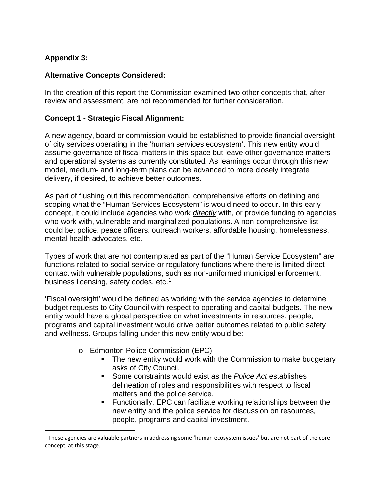## **Appendix 3:**

#### **Alternative Concepts Considered:**

In the creation of this report the Commission examined two other concepts that, after review and assessment, are not recommended for further consideration.

#### **Concept 1 - Strategic Fiscal Alignment:**

A new agency, board or commission would be established to provide financial oversight of city services operating in the 'human services ecosystem'. This new entity would assume governance of fiscal matters in this space but leave other governance matters and operational systems as currently constituted. As learnings occur through this new model, medium- and long-term plans can be advanced to more closely integrate delivery, if desired, to achieve better outcomes.

As part of flushing out this recommendation, comprehensive efforts on defining and scoping what the "Human Services Ecosystem" is would need to occur. In this early concept, it could include agencies who work *directly* with, or provide funding to agencies who work with, vulnerable and marginalized populations. A non-comprehensive list could be: police, peace officers, outreach workers, affordable housing, homelessness, mental health advocates, etc.

Types of work that are not contemplated as part of the "Human Service Ecosystem" are functions related to social service or regulatory functions where there is limited direct contact with vulnerable populations, such as non-uniformed municipal enforcement, business licensing, safety codes, etc.<sup>[1](#page-0-0)</sup>

'Fiscal oversight' would be defined as working with the service agencies to determine budget requests to City Council with respect to operating and capital budgets. The new entity would have a global perspective on what investments in resources, people, programs and capital investment would drive better outcomes related to public safety and wellness. Groups falling under this new entity would be:

- o Edmonton Police Commission (EPC)
	- The new entity would work with the Commission to make budgetary asks of City Council.
	- Some constraints would exist as the *Police Act* establishes delineation of roles and responsibilities with respect to fiscal matters and the police service.
	- Functionally, EPC can facilitate working relationships between the new entity and the police service for discussion on resources, people, programs and capital investment.

<span id="page-0-0"></span><sup>1</sup> These agencies are valuable partners in addressing some 'human ecosystem issues' but are not part of the core concept, at this stage.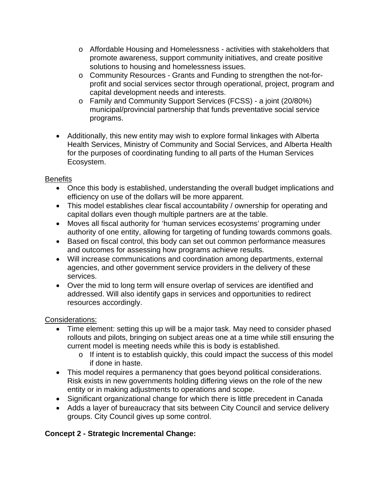- o Affordable Housing and Homelessness activities with stakeholders that promote awareness, support community initiatives, and create positive solutions to housing and homelessness issues.
- o Community Resources Grants and Funding to strengthen the not-forprofit and social services sector through operational, project, program and capital development needs and interests.
- o Family and Community Support Services (FCSS) a joint (20/80%) municipal/provincial partnership that funds preventative social service programs.
- Additionally, this new entity may wish to explore formal linkages with Alberta Health Services, Ministry of Community and Social Services, and Alberta Health for the purposes of coordinating funding to all parts of the Human Services Ecosystem.

### **Benefits**

- Once this body is established, understanding the overall budget implications and efficiency on use of the dollars will be more apparent.
- This model establishes clear fiscal accountability / ownership for operating and capital dollars even though multiple partners are at the table.
- Moves all fiscal authority for 'human services ecosystems' programing under authority of one entity, allowing for targeting of funding towards commons goals.
- Based on fiscal control, this body can set out common performance measures and outcomes for assessing how programs achieve results.
- Will increase communications and coordination among departments, external agencies, and other government service providers in the delivery of these services.
- Over the mid to long term will ensure overlap of services are identified and addressed. Will also identify gaps in services and opportunities to redirect resources accordingly.

### Considerations:

- Time element: setting this up will be a major task. May need to consider phased rollouts and pilots, bringing on subject areas one at a time while still ensuring the current model is meeting needs while this is body is established.
	- o If intent is to establish quickly, this could impact the success of this model if done in haste.
- This model requires a permanency that goes beyond political considerations. Risk exists in new governments holding differing views on the role of the new entity or in making adjustments to operations and scope.
- Significant organizational change for which there is little precedent in Canada
- Adds a layer of bureaucracy that sits between City Council and service delivery groups. City Council gives up some control.

# **Concept 2 - Strategic Incremental Change:**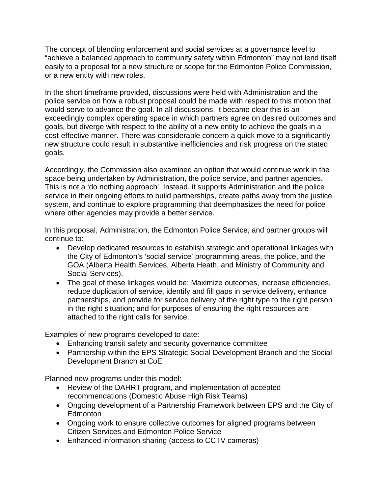The concept of blending enforcement and social services at a governance level to "achieve a balanced approach to community safety within Edmonton" may not lend itself easily to a proposal for a new structure or scope for the Edmonton Police Commission, or a new entity with new roles.

In the short timeframe provided, discussions were held with Administration and the police service on how a robust proposal could be made with respect to this motion that would serve to advance the goal. In all discussions, it became clear this is an exceedingly complex operating space in which partners agree on desired outcomes and goals, but diverge with respect to the ability of a new entity to achieve the goals in a cost-effective manner. There was considerable concern a quick move to a significantly new structure could result in substantive inefficiencies and risk progress on the stated goals.

Accordingly, the Commission also examined an option that would continue work in the space being undertaken by Administration, the police service, and partner agencies. This is not a 'do nothing approach'. Instead, it supports Administration and the police service in their ongoing efforts to build partnerships, create paths away from the justice system, and continue to explore programming that deemphasizes the need for police where other agencies may provide a better service.

In this proposal, Administration, the Edmonton Police Service, and partner groups will continue to:

- Develop dedicated resources to establish strategic and operational linkages with the City of Edmonton's 'social service' programming areas, the police, and the GOA (Alberta Health Services, Alberta Heath, and Ministry of Community and Social Services).
- The goal of these linkages would be: Maximize outcomes, increase efficiencies, reduce duplication of service, identify and fill gaps in service delivery, enhance partnerships, and provide for service delivery of the right type to the right person in the right situation; and for purposes of ensuring the right resources are attached to the right calls for service.

Examples of new programs developed to date:

- Enhancing transit safety and security governance committee
- Partnership within the EPS Strategic Social Development Branch and the Social Development Branch at CoE

Planned new programs under this model:

- Review of the DAHRT program, and implementation of accepted recommendations (Domestic Abuse High Risk Teams)
- Ongoing development of a Partnership Framework between EPS and the City of **Edmonton**
- Ongoing work to ensure collective outcomes for aligned programs between Citizen Services and Edmonton Police Service
- Enhanced information sharing (access to CCTV cameras)